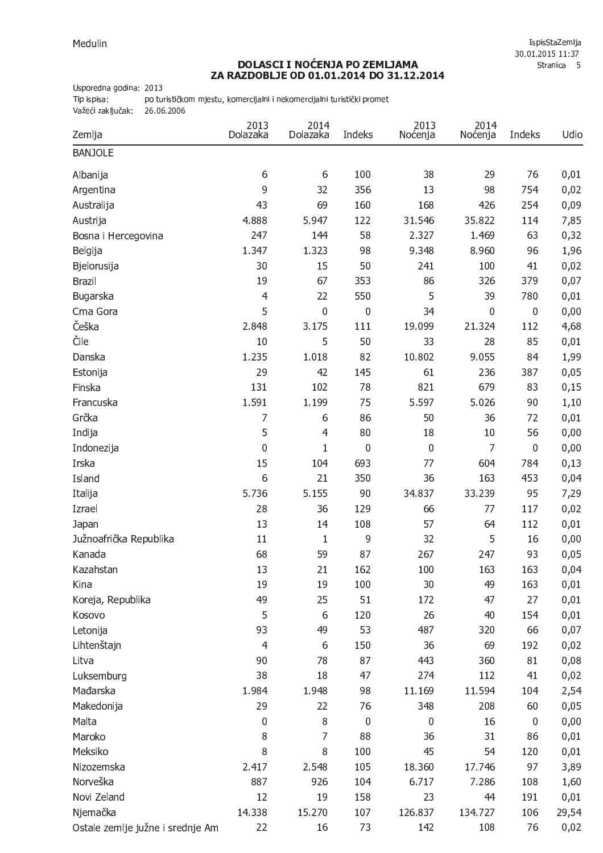IspisStaZemlja 30.01.2015 11:37 Stranica 5

## **DOLASCI I NOĆENJA PO ZEMLJAMA<br>ZA RAZDOBLJE OD 01.01.2014 DO 31.12.2014**

Usporedna godina: 2013

Tip ispisa: po turističkom mjestu, komercijalni i nekomercijalni turistički promet

Važeći zaključak: 26.06.2006

| Zemlja                           | 2013<br>Dolazaka | 2014<br>Dolazaka | Indeks      | 2013<br>Noćenja | 2014<br>Noćenja | Indeks      | Udio  |
|----------------------------------|------------------|------------------|-------------|-----------------|-----------------|-------------|-------|
| <b>BANJOLE</b>                   |                  |                  |             |                 |                 |             |       |
| Albanija                         | 6                | 6                | 100         | 38              | 29              | 76          | 0,01  |
| Argentina                        | 9                | 32               | 356         | 13              | 98              | 754         | 0,02  |
| Australija                       | 43               | 69               | 160         | 168             | 426             | 254         | 0,09  |
| Austrija                         | 4.888            | 5.947            | 122         | 31.546          | 35.822          | 114         | 7,85  |
| Bosna i Hercegovina              | 247              | 144              | 58          | 2.327           | 1.469           | 63          | 0,32  |
| Belgija                          | 1.347            | 1.323            | 98          | 9.348           | 8.960           | 96          | 1,96  |
| Bjelorusija                      | 30               | 15               | 50          | 241             | 100             | 41          | 0,02  |
| <b>Brazil</b>                    | 19               | 67               | 353         | 86              | 326             | 379         | 0,07  |
| Bugarska                         | $\overline{4}$   | 22               | 550         | 5               | 39              | 780         | 0,01  |
| Crna Gora                        | 5                | $\mathbf 0$      | 0           | 34              | $\mathbf 0$     | $\mathbf 0$ | 0,00  |
| Češka                            | 2.848            | 3.175            | 111         | 19.099          | 21.324          | 112         | 4,68  |
| Čile                             | 10               | 5                | 50          | 33              | 28              | 85          | 0,01  |
| Danska                           | 1.235            | 1.018            | 82          | 10.802          | 9.055           | 84          | 1,99  |
| Estonija                         | 29               | 42               | 145         | 61              | 236             | 387         | 0,05  |
| Finska                           | 131              | 102              | 78          | 821             | 679             | 83          | 0,15  |
| Francuska                        | 1.591            | 1.199            | 75          | 5.597           | 5.026           | 90          | 1,10  |
| Grčka                            | 7                | 6                | 86          | 50              | 36              | 72          | 0,01  |
| Indija                           | 5                | $\overline{4}$   | 80          | 18              | 10              | 56          | 0,00  |
| Indonezija                       | 0                | $\mathbf{1}$     | $\mathbf 0$ | 0               | 7               | $\mathbf 0$ | 0,00  |
| Irska                            | 15               | 104              | 693         | 77              | 604             | 784         | 0,13  |
| Island                           | 6                | 21               | 350         | 36              | 163             | 453         | 0,04  |
| Italija                          | 5.736            | 5.155            | 90          | 34.837          | 33.239          | 95          | 7,29  |
| Izrael                           | 28               | 36               | 129         | 66              | 77              | 117         | 0,02  |
| Japan                            | 13               | 14               | 108         | 57              | 64              | 112         | 0,01  |
| Južnoafrička Republika           | 11               | $\mathbf{1}$     | 9           | 32              | 5               | 16          | 0,00  |
| Kanada                           | 68               | 59               | 87          | 267             | 247             | 93          | 0,05  |
| Kazahstan                        | 13               | 21               | 162         | 100             | 163             | 163         | 0,04  |
| Kina                             | 19               | 19               | 100         | 30              | 49              | 163         | 0,01  |
| Koreja, Republika                | 49               | 25               | 51          | 172             | 47              | 27          | 0,01  |
| Kosovo                           | 5                | 6                | 120         | 26              | 40              | 154         | 0,01  |
| Letonija                         | 93               | 49               | 53          | 487             | 320             | 66          | 0,07  |
| Lihtenštajn                      | 4                | 6                | 150         | 36              | 69              | 192         | 0,02  |
| Litva                            | 90               | 78               | 87          | 443             | 360             | 81          | 0,08  |
| Luksemburg                       | 38               | 18               | 47          | 274             | 112             | 41          | 0,02  |
| Mađarska                         | 1.984            | 1.948            | 98          | 11.169          | 11.594          | 104         | 2,54  |
| Makedonija                       | 29               | 22               | 76          | 348             | 208             | 60          | 0,05  |
| Malta                            | 0                | 8                | $\mathbf 0$ | 0               | 16              | $\mathbf 0$ | 0,00  |
| Maroko                           | 8                | 7                | 88          | 36              | 31              | 86          | 0,01  |
| Meksiko                          | 8                | 8                | 100         | 45              | 54              | 120         | 0,01  |
| Nizozemska                       | 2.417            | 2.548            | 105         | 18.360          | 17.746          | 97          | 3,89  |
| Norveška                         | 887              | 926              | 104         | 6.717           | 7.286           | 108         | 1,60  |
| Novi Zeland                      | 12               | 19               | 158         | 23              | 44              | 191         | 0,01  |
| Njemačka                         | 14.338           | 15.270           | 107         | 126.837         | 134.727         | 106         | 29,54 |
| Ostale zemlje južne i srednje Am | 22               | 16               | 73          | 142             | 108             | 76          | 0,02  |